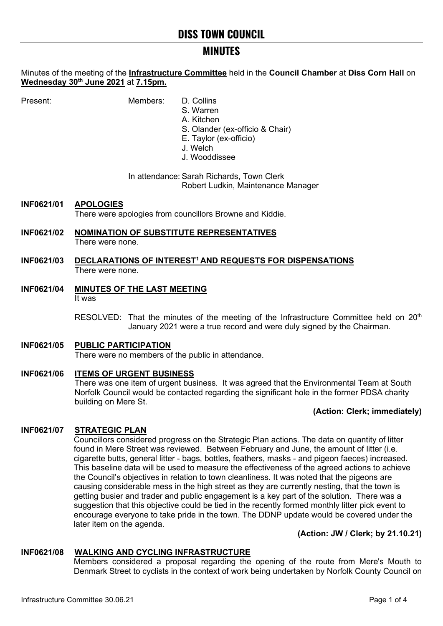# **MINUTES**

Minutes of the meeting of the **Infrastructure Committee** held in the **Council Chamber** at **Diss Corn Hall** on **Wednesday 30th June 2021** at **7.15pm.**

Present: Members: D. Collins

- S. Warren
- A. Kitchen
- S. Olander (ex-officio & Chair)
- E. Taylor (ex-officio)
- J. Welch
- J. Wooddissee

In attendance: Sarah Richards, Town Clerk Robert Ludkin, Maintenance Manager

**INF0621/01 APOLOGIES** There were apologies from councillors Browne and Kiddie.

#### **INF0621/02 NOMINATION OF SUBSTITUTE REPRESENTATIVES** There were none.

- **INF0621/03 DECLARATIONS OF INTEREST1 AND REQUESTS FOR DISPENSATIONS** There were none.
- **INF0621/04 MINUTES OF THE LAST MEETING** It was

RESOLVED: That the minutes of the meeting of the Infrastructure Committee held on  $20<sup>th</sup>$ January 2021 were a true record and were duly signed by the Chairman.

# **INF0621/05 PUBLIC PARTICIPATION** There were no members of the public in attendance.

## **INF0621/06 ITEMS OF URGENT BUSINESS** There was one item of urgent business. It was agreed that the Environmental Team at South Norfolk Council would be contacted regarding the significant hole in the former PDSA charity building on Mere St.

## **(Action: Clerk; immediately)**

# **INF0621/07 STRATEGIC PLAN**

Councillors considered progress on the Strategic Plan actions. The data on quantity of litter found in Mere Street was reviewed. Between February and June, the amount of litter (i.e. cigarette butts, general litter - bags, bottles, feathers, masks - and pigeon faeces) increased. This baseline data will be used to measure the effectiveness of the agreed actions to achieve the Council's objectives in relation to town cleanliness. It was noted that the pigeons are causing considerable mess in the high street as they are currently nesting, that the town is getting busier and trader and public engagement is a key part of the solution. There was a suggestion that this objective could be tied in the recently formed monthly litter pick event to encourage everyone to take pride in the town. The DDNP update would be covered under the later item on the agenda.

## **(Action: JW / Clerk; by 21.10.21)**

## **INF0621/08 WALKING AND CYCLING INFRASTRUCTURE**

Members considered a proposal regarding the opening of the route from Mere's Mouth to Denmark Street to cyclists in the context of work being undertaken by Norfolk County Council on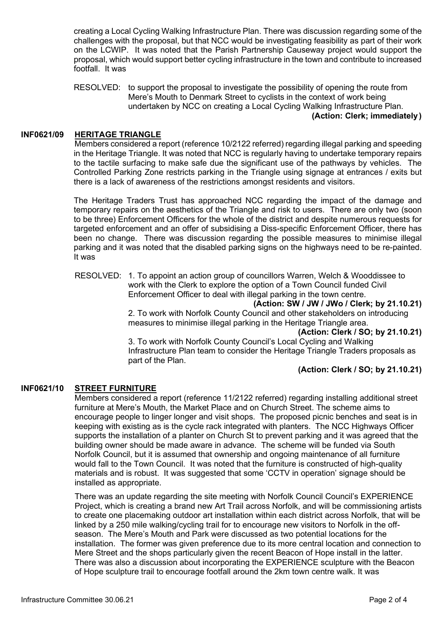creating a Local Cycling Walking Infrastructure Plan. There was discussion regarding some of the challenges with the proposal, but that NCC would be investigating feasibility as part of their work on the LCWIP. It was noted that the Parish Partnership Causeway project would support the proposal, which would support better cycling infrastructure in the town and contribute to increased footfall. It was

RESOLVED: to support the proposal to investigate the possibility of opening the route from Mere's Mouth to Denmark Street to cyclists in the context of work being undertaken by NCC on creating a Local Cycling Walking Infrastructure Plan.

#### **(Action: Clerk; immediately)**

## **INF0621/09 HERITAGE TRIANGLE**

Members considered a report (reference 10/2122 referred) regarding illegal parking and speeding in the Heritage Triangle. It was noted that NCC is regularly having to undertake temporary repairs to the tactile surfacing to make safe due the significant use of the pathways by vehicles. The Controlled Parking Zone restricts parking in the Triangle using signage at entrances / exits but there is a lack of awareness of the restrictions amongst residents and visitors.

The Heritage Traders Trust has approached NCC regarding the impact of the damage and temporary repairs on the aesthetics of the Triangle and risk to users. There are only two (soon to be three) Enforcement Officers for the whole of the district and despite numerous requests for targeted enforcement and an offer of subsidising a Diss-specific Enforcement Officer, there has been no change. There was discussion regarding the possible measures to minimise illegal parking and it was noted that the disabled parking signs on the highways need to be re-painted. It was

RESOLVED: 1. To appoint an action group of councillors Warren, Welch & Wooddissee to work with the Clerk to explore the option of a Town Council funded Civil Enforcement Officer to deal with illegal parking in the town centre.

**(Action: SW / JW / JWo / Clerk; by 21.10.21)**

2. To work with Norfolk County Council and other stakeholders on introducing measures to minimise illegal parking in the Heritage Triangle area.

**(Action: Clerk / SO; by 21.10.21)**

3. To work with Norfolk County Council's Local Cycling and Walking Infrastructure Plan team to consider the Heritage Triangle Traders proposals as part of the Plan.

#### **(Action: Clerk / SO; by 21.10.21)**

## **INF0621/10 STREET FURNITURE**

Members considered a report (reference 11/2122 referred) regarding installing additional street furniture at Mere's Mouth, the Market Place and on Church Street. The scheme aims to encourage people to linger longer and visit shops. The proposed picnic benches and seat is in keeping with existing as is the cycle rack integrated with planters. The NCC Highways Officer supports the installation of a planter on Church St to prevent parking and it was agreed that the building owner should be made aware in advance. The scheme will be funded via South Norfolk Council, but it is assumed that ownership and ongoing maintenance of all furniture would fall to the Town Council. It was noted that the furniture is constructed of high-quality materials and is robust. It was suggested that some 'CCTV in operation' signage should be installed as appropriate.

There was an update regarding the site meeting with Norfolk Council Council's [EXPERIENCE](https://eur03.safelinks.protection.outlook.com/?url=https%3A%2F%2Fwww.tourismexperience.org%2F&data=04%7C01%7Csarah.richards%40diss.gov.uk%7C2851e87e45314485c5fc08d93c7a737d%7C49a1b1dec5d845918038617627d204ed%7C0%7C0%7C637607318919975354%7CUnknown%7CTWFpbGZsb3d8eyJWIjoiMC4wLjAwMDAiLCJQIjoiV2luMzIiLCJBTiI6Ik1haWwiLCJXVCI6Mn0%3D%7C1000&sdata=8vdld02O7nT072KtWW4wATsLUb3GTV4bvGNDdXYNwbI%3D&reserved=0)  [Project,](https://eur03.safelinks.protection.outlook.com/?url=https%3A%2F%2Fwww.tourismexperience.org%2F&data=04%7C01%7Csarah.richards%40diss.gov.uk%7C2851e87e45314485c5fc08d93c7a737d%7C49a1b1dec5d845918038617627d204ed%7C0%7C0%7C637607318919975354%7CUnknown%7CTWFpbGZsb3d8eyJWIjoiMC4wLjAwMDAiLCJQIjoiV2luMzIiLCJBTiI6Ik1haWwiLCJXVCI6Mn0%3D%7C1000&sdata=8vdld02O7nT072KtWW4wATsLUb3GTV4bvGNDdXYNwbI%3D&reserved=0) which is creating a brand new Art Trail across Norfolk, and will be commissioning artists to create one placemaking outdoor art installation within each district across Norfolk, that will be linked by a 250 mile walking/cycling trail for to encourage new visitors to Norfolk in the offseason. The Mere's Mouth and Park were discussed as two potential locations for the installation. The former was given preference due to its more central location and connection to Mere Street and the shops particularly given the recent Beacon of Hope install in the latter. There was also a discussion about incorporating the EXPERIENCE sculpture with the Beacon of Hope sculpture trail to encourage footfall around the 2km town centre walk. It was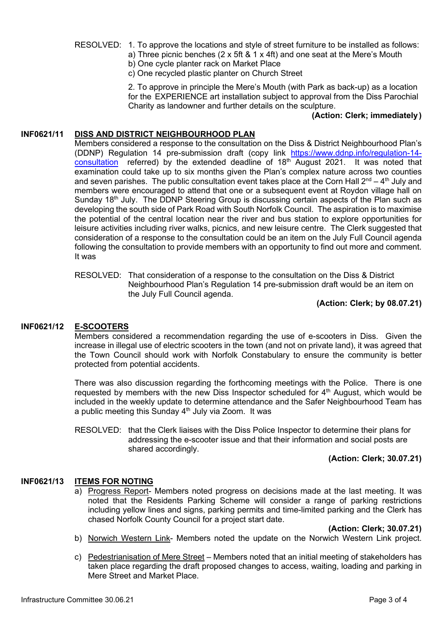- RESOLVED: 1. To approve the locations and style of street furniture to be installed as follows:
	- a) Three picnic benches (2 x 5ft & 1 x 4ft) and one seat at the Mere's Mouth
	- b) One cycle planter rack on Market Place
	- c) One recycled plastic planter on Church Street

2. To approve in principle the Mere's Mouth (with Park as back-up) as a location for the EXPERIENCE art installation subject to approval from the Diss Parochial Charity as landowner and further details on the sculpture.

#### **(Action: Clerk; immediately)**

## **INF0621/11 DISS AND DISTRICT NEIGHBOURHOOD PLAN**

Members considered a response to the consultation on the Diss & District Neighbourhood Plan's (DDNP) Regulation 14 pre-submission draft (copy link [https://www.ddnp.info/regulation-14](https://www.ddnp.info/regulation-14-consultation) [consultation](https://www.ddnp.info/regulation-14-consultation) referred) by the extended deadline of 18<sup>th</sup> August 2021. It was noted that examination could take up to six months given the Plan's complex nature across two counties and seven parishes. The public consultation event takes place at the Corn Hall  $2^{nd} - 4^{th}$  July and members were encouraged to attend that one or a subsequent event at Roydon village hall on Sunday 18<sup>th</sup> July. The DDNP Steering Group is discussing certain aspects of the Plan such as developing the south side of Park Road with South Norfolk Council. The aspiration is to maximise the potential of the central location near the river and bus station to explore opportunities for leisure activities including river walks, picnics, and new leisure centre. The Clerk suggested that consideration of a response to the consultation could be an item on the July Full Council agenda following the consultation to provide members with an opportunity to find out more and comment. It was

RESOLVED: That consideration of a response to the consultation on the Diss & District Neighbourhood Plan's Regulation 14 pre-submission draft would be an item on the July Full Council agenda.

## **(Action: Clerk; by 08.07.21)**

## **INF0621/12 E-SCOOTERS**

Members considered a recommendation regarding the use of e-scooters in Diss. Given the increase in illegal use of electric scooters in the town (and not on private land), it was agreed that the Town Council should work with Norfolk Constabulary to ensure the community is better protected from potential accidents.

There was also discussion regarding the forthcoming meetings with the Police. There is one requested by members with the new Diss Inspector scheduled for  $4<sup>th</sup>$  August, which would be included in the weekly update to determine attendance and the Safer Neighbourhood Team has a public meeting this Sunday  $4<sup>th</sup>$  July via Zoom. It was

RESOLVED: that the Clerk liaises with the Diss Police Inspector to determine their plans for addressing the e-scooter issue and that their information and social posts are shared accordingly.

# **(Action: Clerk; 30.07.21)**

## **INF0621/13 ITEMS FOR NOTING**

a) Progress Report- Members noted progress on decisions made at the last meeting. It was noted that the Residents Parking Scheme will consider a range of parking restrictions including yellow lines and signs, parking permits and time-limited parking and the Clerk has chased Norfolk County Council for a project start date.

**(Action: Clerk; 30.07.21)**

- b) Norwich Western Link- Members noted the update on the Norwich Western Link project.
- c) Pedestrianisation of Mere Street Members noted that an initial meeting of stakeholders has taken place regarding the draft proposed changes to access, waiting, loading and parking in Mere Street and Market Place.